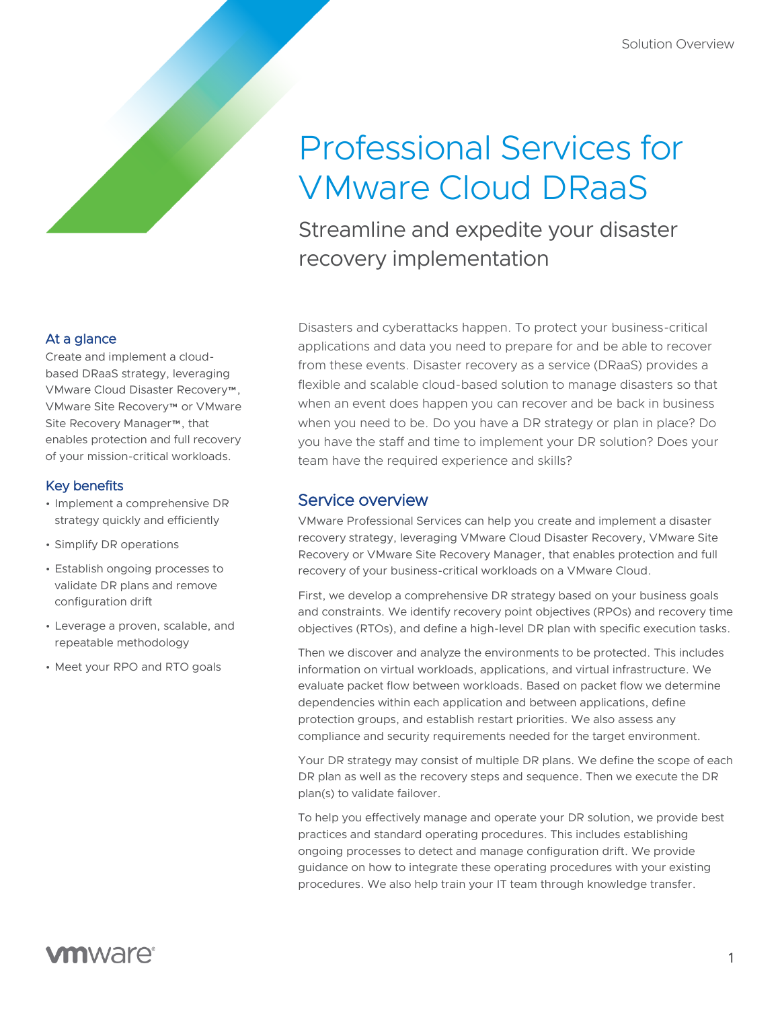# Professional Services for VMware Cloud DRaaS

Streamline and expedite your disaster recovery implementation

Disasters and cyberattacks happen. To protect your business-critical applications and data you need to prepare for and be able to recover from these events. Disaster recovery as a service (DRaaS) provides a flexible and scalable cloud-based solution to manage disasters so that when an event does happen you can recover and be back in business when you need to be. Do you have a DR strategy or plan in place? Do you have the staff and time to implement your DR solution? Does your team have the required experience and skills?

## Service overview

VMware Professional Services can help you create and implement a disaster recovery strategy, leveraging VMware Cloud Disaster Recovery, VMware Site Recovery or VMware Site Recovery Manager, that enables protection and full recovery of your business-critical workloads on a VMware Cloud.

First, we develop a comprehensive DR strategy based on your business goals and constraints. We identify recovery point objectives (RPOs) and recovery time objectives (RTOs), and define a high-level DR plan with specific execution tasks.

Then we discover and analyze the environments to be protected. This includes information on virtual workloads, applications, and virtual infrastructure. We evaluate packet flow between workloads. Based on packet flow we determine dependencies within each application and between applications, define protection groups, and establish restart priorities. We also assess any compliance and security requirements needed for the target environment.

Your DR strategy may consist of multiple DR plans. We define the scope of each DR plan as well as the recovery steps and sequence. Then we execute the DR plan(s) to validate failover.

To help you effectively manage and operate your DR solution, we provide best practices and standard operating procedures. This includes establishing ongoing processes to detect and manage configuration drift. We provide guidance on how to integrate these operating procedures with your existing procedures. We also help train your IT team through knowledge transfer.

### At a glance

Create and implement a cloudbased DRaaS strategy, leveraging VMware Cloud Disaster Recovery™, VMware Site Recovery™ or VMware Site Recovery Manager™, that enables protection and full recovery of your mission-critical workloads.

#### Key benefits

- Implement a comprehensive DR strategy quickly and efficiently
- Simplify DR operations
- Establish ongoing processes to validate DR plans and remove configuration drift
- Leverage a proven, scalable, and repeatable methodology
- Meet your RPO and RTO goals